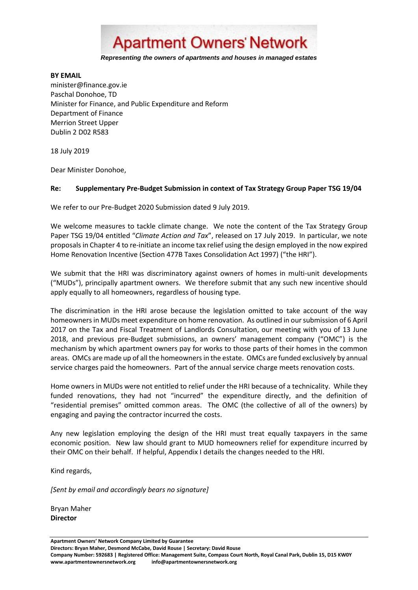

## **BY EMAIL**

minister@finance.gov.ie Paschal Donohoe, TD Minister for Finance, and Public Expenditure and Reform Department of Finance Merrion Street Upper Dublin 2 D02 R583

18 July 2019

Dear Minister Donohoe,

## **Re: Supplementary Pre-Budget Submission in context of Tax Strategy Group Paper TSG 19/04**

We refer to our Pre-Budget 2020 Submission dated 9 July 2019.

We welcome measures to tackle climate change. We note the content of the Tax Strategy Group Paper TSG 19/04 entitled "*Climate Action and Tax*", released on 17 July 2019. In particular, we note proposals in Chapter 4 to re-initiate an income tax relief using the design employed in the now expired Home Renovation Incentive (Section 477B Taxes Consolidation Act 1997) ("the HRI").

We submit that the HRI was discriminatory against owners of homes in multi-unit developments ("MUDs"), principally apartment owners. We therefore submit that any such new incentive should apply equally to all homeowners, regardless of housing type.

The discrimination in the HRI arose because the legislation omitted to take account of the way homeowners in MUDs meet expenditure on home renovation. As outlined in our submission of 6 April 2017 on the Tax and Fiscal Treatment of Landlords Consultation, our meeting with you of 13 June 2018, and previous pre-Budget submissions, an owners' management company ("OMC") is the mechanism by which apartment owners pay for works to those parts of their homes in the common areas. OMCs are made up of all the homeowners in the estate. OMCs are funded exclusively by annual service charges paid the homeowners. Part of the annual service charge meets renovation costs.

Home owners in MUDs were not entitled to relief under the HRI because of a technicality. While they funded renovations, they had not "incurred" the expenditure directly, and the definition of "residential premises" omitted common areas. The OMC (the collective of all of the owners) by engaging and paying the contractor incurred the costs.

Any new legislation employing the design of the HRI must treat equally taxpayers in the same economic position. New law should grant to MUD homeowners relief for expenditure incurred by their OMC on their behalf. If helpful, Appendix I details the changes needed to the HRI.

Kind regards,

*[Sent by email and accordingly bears no signature]*

Bryan Maher **Director**

**Apartment Owners' Network Company Limited by Guarantee Directors: Bryan Maher, Desmond McCabe, David Rouse | Secretary: David Rouse Company Number: 592683 | Registered Office: Management Suite, Compass Court North, Royal Canal Park, Dublin 15, D15 KW0Y www.apartmentownersnetwork.org info@apartmentownersnetwork.org**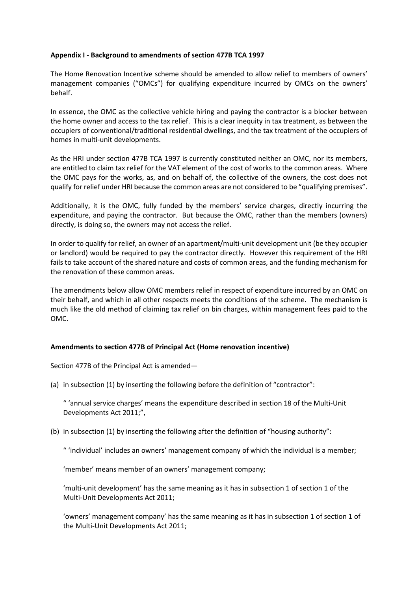## **Appendix I - Background to amendments of section 477B TCA 1997**

The Home Renovation Incentive scheme should be amended to allow relief to members of owners' management companies ("OMCs") for qualifying expenditure incurred by OMCs on the owners' behalf.

In essence, the OMC as the collective vehicle hiring and paying the contractor is a blocker between the home owner and access to the tax relief. This is a clear inequity in tax treatment, as between the occupiers of conventional/traditional residential dwellings, and the tax treatment of the occupiers of homes in multi-unit developments.

As the HRI under section 477B TCA 1997 is currently constituted neither an OMC, nor its members, are entitled to claim tax relief for the VAT element of the cost of works to the common areas. Where the OMC pays for the works, as, and on behalf of, the collective of the owners, the cost does not qualify for relief under HRI because the common areas are not considered to be "qualifying premises".

Additionally, it is the OMC, fully funded by the members' service charges, directly incurring the expenditure, and paying the contractor. But because the OMC, rather than the members (owners) directly, is doing so, the owners may not access the relief.

In order to qualify for relief, an owner of an apartment/multi-unit development unit (be they occupier or landlord) would be required to pay the contractor directly. However this requirement of the HRI fails to take account of the shared nature and costs of common areas, and the funding mechanism for the renovation of these common areas.

The amendments below allow OMC members relief in respect of expenditure incurred by an OMC on their behalf, and which in all other respects meets the conditions of the scheme. The mechanism is much like the old method of claiming tax relief on bin charges, within management fees paid to the OMC.

## **Amendments to section 477B of Principal Act (Home renovation incentive)**

Section 477B of the Principal Act is amended—

(a) in subsection (1) by inserting the following before the definition of "contractor":

" 'annual service charges' means the expenditure described in section 18 of the Multi-Unit Developments Act 2011;",

(b) in subsection (1) by inserting the following after the definition of "housing authority":

" 'individual' includes an owners' management company of which the individual is a member;

'member' means member of an owners' management company;

'multi-unit development' has the same meaning as it has in subsection 1 of section 1 of the Multi-Unit Developments Act 2011;

'owners' management company' has the same meaning as it has in subsection 1 of section 1 of the Multi-Unit Developments Act 2011;